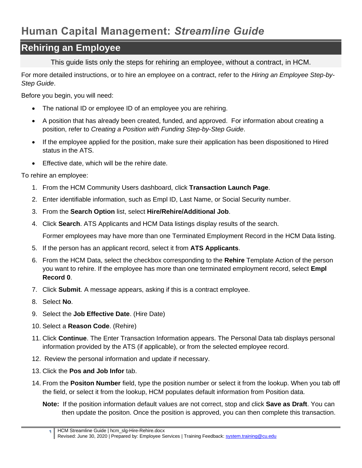## **Human Capital Management:** *Streamline Guide*

## **Rehiring an Employee**

This guide lists only the steps for rehiring an employee, without a contract, in HCM.

For more detailed instructions, or to hire an employee on a contract, refer to the *Hiring an Employee Step-by-Step Guide*.

Before you begin, you will need:

- The national ID or employee ID of an employee you are rehiring.
- A position that has already been created, funded, and approved. For information about creating a position, refer to *Creating a Position with Funding Step-by-Step Guide*.
- If the employee applied for the position, make sure their application has been dispositioned to Hired status in the ATS.
- Effective date, which will be the rehire date.

To rehire an employee:

- 1. From the HCM Community Users dashboard, click **Transaction Launch Page**.
- 2. Enter identifiable information, such as Empl ID, Last Name, or Social Security number.
- 3. From the **Search Option** list, select **Hire/Rehire/Additional Job**.
- 4. Click **Search**. ATS Applicants and HCM Data listings display results of the search.

Former employees may have more than one Terminated Employment Record in the HCM Data listing.

- 5. If the person has an applicant record, select it from **ATS Applicants**.
- 6. From the HCM Data, select the checkbox corresponding to the **Rehire** Template Action of the person you want to rehire. If the employee has more than one terminated employment record, select **Empl Record 0**.
- 7. Click **Submit**. A message appears, asking if this is a contract employee.
- 8. Select **No**.
- 9. Select the **Job Effective Date**. (Hire Date)
- 10. Select a **Reason Code**. (Rehire)
- 11. Click **Continue**. The Enter Transaction Information appears. The Personal Data tab displays personal information provided by the ATS (if applicable), or from the selected employee record.
- 12. Review the personal information and update if necessary.
- 13. Click the **Pos and Job Infor** tab.
- 14. From the **Positon Number** field, type the position number or select it from the lookup. When you tab off the field, or select it from the lookup, HCM populates default information from Position data.
	- **Note:** If the position information default values are not correct, stop and click **Save as Draft**. You can then update the positon. Once the position is approved, you can then complete this transaction.